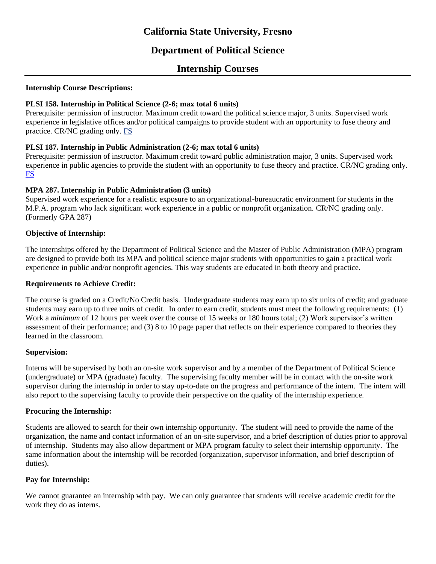# **California State University, Fresno**

## **Department of Political Science**

### **Internship Courses**

#### **Internship Course Descriptions:**

#### **PLSI 158. Internship in Political Science (2-6; max total 6 units)**

Prerequisite: permission of instructor. Maximum credit toward the political science major, 3 units. Supervised work experience in legislative offices and/or political campaigns to provide student with an opportunity to fuse theory and practice. CR/NC grading only. FS

#### **PLSI 187. Internship in Public Administration (2-6; max total 6 units)**

Prerequisite: permission of instructor. Maximum credit toward public administration major, 3 units. Supervised work experience in public agencies to provide the student with an opportunity to fuse theory and practice. CR/NC grading only. FS

#### **MPA 287. Internship in Public Administration (3 units)**

Supervised work experience for a realistic exposure to an organizational-bureaucratic environment for students in the M.P.A. program who lack significant work experience in a public or nonprofit organization. CR/NC grading only. (Formerly GPA 287)

#### **Objective of Internship:**

The internships offered by the Department of Political Science and the Master of Public Administration (MPA) program are designed to provide both its MPA and political science major students with opportunities to gain a practical work experience in public and/or nonprofit agencies. This way students are educated in both theory and practice.

#### **Requirements to Achieve Credit:**

The course is graded on a Credit/No Credit basis. Undergraduate students may earn up to six units of credit; and graduate students may earn up to three units of credit. In order to earn credit, students must meet the following requirements: (1) Work a *minimum* of 12 hours per week over the course of 15 weeks or 180 hours total; (2) Work supervisor's written assessment of their performance; and (3) 8 to 10 page paper that reflects on their experience compared to theories they learned in the classroom.

#### **Supervision:**

Interns will be supervised by both an on-site work supervisor and by a member of the Department of Political Science (undergraduate) or MPA (graduate) faculty. The supervising faculty member will be in contact with the on-site work supervisor during the internship in order to stay up-to-date on the progress and performance of the intern. The intern will also report to the supervising faculty to provide their perspective on the quality of the internship experience.

#### **Procuring the Internship:**

Students are allowed to search for their own internship opportunity. The student will need to provide the name of the organization, the name and contact information of an on-site supervisor, and a brief description of duties prior to approval of internship. Students may also allow department or MPA program faculty to select their internship opportunity. The same information about the internship will be recorded (organization, supervisor information, and brief description of duties).

#### **Pay for Internship:**

We cannot guarantee an internship with pay. We can only guarantee that students will receive academic credit for the work they do as interns.